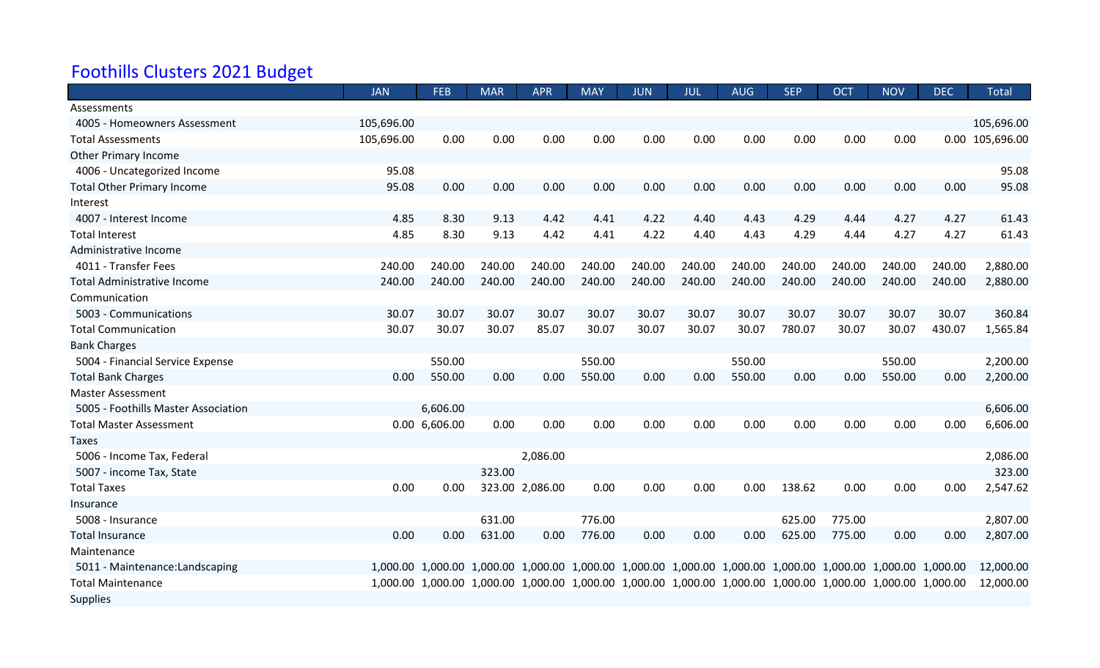## Foothills Clusters 2021 Budget

|                                     | <b>JAN</b> | <b>FEB</b>    | <b>MAR</b> | <b>APR</b>      | <b>MAY</b>                                                                                                  | <b>JUN</b> | JUL    | <b>AUG</b> | <b>SEP</b> | <b>OCT</b> | <b>NOV</b> | <b>DEC</b> | <b>Total</b>    |
|-------------------------------------|------------|---------------|------------|-----------------|-------------------------------------------------------------------------------------------------------------|------------|--------|------------|------------|------------|------------|------------|-----------------|
| Assessments                         |            |               |            |                 |                                                                                                             |            |        |            |            |            |            |            |                 |
| 4005 - Homeowners Assessment        | 105,696.00 |               |            |                 |                                                                                                             |            |        |            |            |            |            |            | 105,696.00      |
| <b>Total Assessments</b>            | 105,696.00 | 0.00          | 0.00       | 0.00            | 0.00                                                                                                        | 0.00       | 0.00   | 0.00       | 0.00       | 0.00       | 0.00       |            | 0.00 105,696.00 |
| <b>Other Primary Income</b>         |            |               |            |                 |                                                                                                             |            |        |            |            |            |            |            |                 |
| 4006 - Uncategorized Income         | 95.08      |               |            |                 |                                                                                                             |            |        |            |            |            |            |            | 95.08           |
| <b>Total Other Primary Income</b>   | 95.08      | 0.00          | 0.00       | 0.00            | 0.00                                                                                                        | 0.00       | 0.00   | 0.00       | 0.00       | 0.00       | 0.00       | 0.00       | 95.08           |
| Interest                            |            |               |            |                 |                                                                                                             |            |        |            |            |            |            |            |                 |
| 4007 - Interest Income              | 4.85       | 8.30          | 9.13       | 4.42            | 4.41                                                                                                        | 4.22       | 4.40   | 4.43       | 4.29       | 4.44       | 4.27       | 4.27       | 61.43           |
| <b>Total Interest</b>               | 4.85       | 8.30          | 9.13       | 4.42            | 4.41                                                                                                        | 4.22       | 4.40   | 4.43       | 4.29       | 4.44       | 4.27       | 4.27       | 61.43           |
| Administrative Income               |            |               |            |                 |                                                                                                             |            |        |            |            |            |            |            |                 |
| 4011 - Transfer Fees                | 240.00     | 240.00        | 240.00     | 240.00          | 240.00                                                                                                      | 240.00     | 240.00 | 240.00     | 240.00     | 240.00     | 240.00     | 240.00     | 2,880.00        |
| <b>Total Administrative Income</b>  | 240.00     | 240.00        | 240.00     | 240.00          | 240.00                                                                                                      | 240.00     | 240.00 | 240.00     | 240.00     | 240.00     | 240.00     | 240.00     | 2,880.00        |
| Communication                       |            |               |            |                 |                                                                                                             |            |        |            |            |            |            |            |                 |
| 5003 - Communications               | 30.07      | 30.07         | 30.07      | 30.07           | 30.07                                                                                                       | 30.07      | 30.07  | 30.07      | 30.07      | 30.07      | 30.07      | 30.07      | 360.84          |
| <b>Total Communication</b>          | 30.07      | 30.07         | 30.07      | 85.07           | 30.07                                                                                                       | 30.07      | 30.07  | 30.07      | 780.07     | 30.07      | 30.07      | 430.07     | 1,565.84        |
| <b>Bank Charges</b>                 |            |               |            |                 |                                                                                                             |            |        |            |            |            |            |            |                 |
| 5004 - Financial Service Expense    |            | 550.00        |            |                 | 550.00                                                                                                      |            |        | 550.00     |            |            | 550.00     |            | 2,200.00        |
| <b>Total Bank Charges</b>           | 0.00       | 550.00        | 0.00       | 0.00            | 550.00                                                                                                      | 0.00       | 0.00   | 550.00     | 0.00       | 0.00       | 550.00     | 0.00       | 2,200.00        |
| <b>Master Assessment</b>            |            |               |            |                 |                                                                                                             |            |        |            |            |            |            |            |                 |
| 5005 - Foothills Master Association |            | 6,606.00      |            |                 |                                                                                                             |            |        |            |            |            |            |            | 6,606.00        |
| <b>Total Master Assessment</b>      |            | 0.00 6,606.00 | 0.00       | 0.00            | 0.00                                                                                                        | 0.00       | 0.00   | 0.00       | 0.00       | 0.00       | 0.00       | 0.00       | 6,606.00        |
| Taxes                               |            |               |            |                 |                                                                                                             |            |        |            |            |            |            |            |                 |
| 5006 - Income Tax, Federal          |            |               |            | 2,086.00        |                                                                                                             |            |        |            |            |            |            |            | 2,086.00        |
| 5007 - income Tax, State            |            |               | 323.00     |                 |                                                                                                             |            |        |            |            |            |            |            | 323.00          |
| <b>Total Taxes</b>                  | 0.00       | 0.00          |            | 323.00 2,086.00 | 0.00                                                                                                        | 0.00       | 0.00   | 0.00       | 138.62     | 0.00       | 0.00       | 0.00       | 2,547.62        |
| Insurance                           |            |               |            |                 |                                                                                                             |            |        |            |            |            |            |            |                 |
| 5008 - Insurance                    |            |               | 631.00     |                 | 776.00                                                                                                      |            |        |            | 625.00     | 775.00     |            |            | 2,807.00        |
| <b>Total Insurance</b>              | 0.00       | 0.00          | 631.00     | 0.00            | 776.00                                                                                                      | 0.00       | 0.00   | 0.00       | 625.00     | 775.00     | 0.00       | 0.00       | 2,807.00        |
| Maintenance                         |            |               |            |                 |                                                                                                             |            |        |            |            |            |            |            |                 |
| 5011 - Maintenance: Landscaping     |            |               |            |                 | 1,000.00 1,000.00 1,000.00 1,000.00 1,000.00 1,000.00 1,000.00 1,000.00 1,000.00 1,000.00 1,000.00 1,000.00 |            |        |            |            |            |            |            | 12,000.00       |
| <b>Total Maintenance</b>            |            |               |            |                 | 1,000.00 1,000.00 1,000.00 1,000.00 1,000.00 1,000.00 1,000.00 1,000.00 1,000.00 1,000.00 1,000.00 1,000.00 |            |        |            |            |            |            |            | 12,000.00       |
| <b>Supplies</b>                     |            |               |            |                 |                                                                                                             |            |        |            |            |            |            |            |                 |